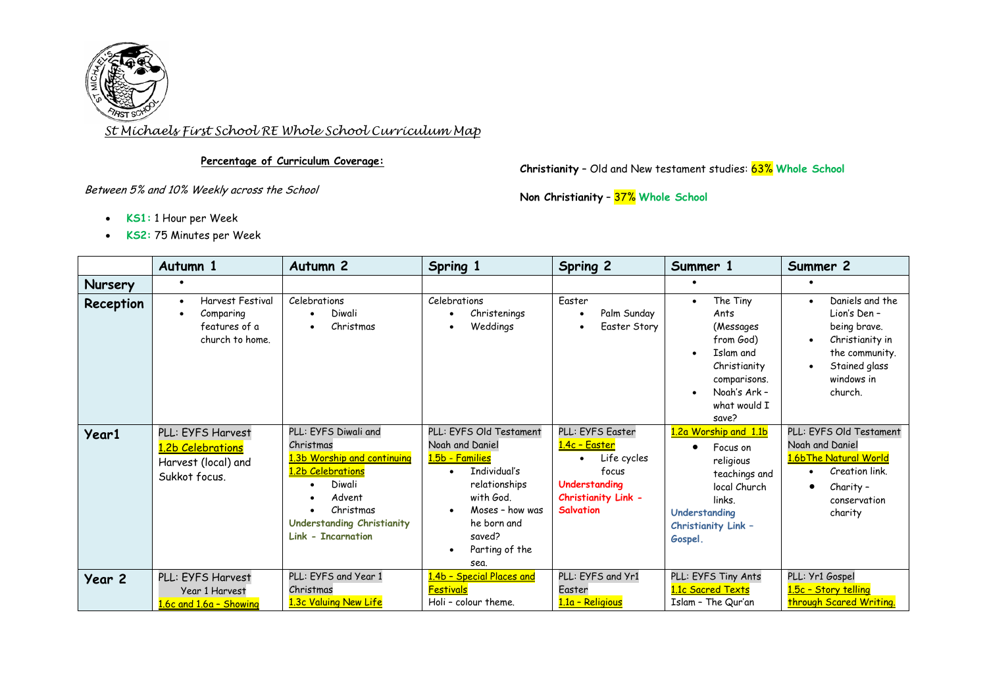

*St Michaels First School RE Whole School Curriculum Map*

## **Percentage of Curriculum Coverage:**

**Christianity** – Old and New testament studies: 63% **Whole School**

Between 5% and 10% Weekly across the School

**Non Christianity** – 37% **Whole School**

- **KS1:** 1 Hour per Week
- **KS2:** 75 Minutes per Week

|                | Autumn 1                                                                                           | Autumn <sub>2</sub>                                                                                                                                                                      | Spring 1                                                                                                                                                                                       | Spring 2                                                                                                                      | Summer 1                                                                                                                                      | Summer 2                                                                                                                       |
|----------------|----------------------------------------------------------------------------------------------------|------------------------------------------------------------------------------------------------------------------------------------------------------------------------------------------|------------------------------------------------------------------------------------------------------------------------------------------------------------------------------------------------|-------------------------------------------------------------------------------------------------------------------------------|-----------------------------------------------------------------------------------------------------------------------------------------------|--------------------------------------------------------------------------------------------------------------------------------|
| <b>Nursery</b> |                                                                                                    |                                                                                                                                                                                          |                                                                                                                                                                                                |                                                                                                                               |                                                                                                                                               |                                                                                                                                |
| Reception      | <b>Harvest Festival</b><br>$\bullet$<br>Comparing<br>$\bullet$<br>features of a<br>church to home. | Celebrations<br>Diwali<br>Christmas                                                                                                                                                      | Celebrations<br>Christenings<br>Weddings<br>$\bullet$                                                                                                                                          | Easter<br>Palm Sunday<br>Easter Story                                                                                         | The Tiny<br>$\bullet$<br>Ants<br>(Messages<br>from God)<br>Islam and<br>Christianity<br>comparisons.<br>Noah's Ark -<br>what would I<br>save? | Daniels and the<br>Lion's Den -<br>being brave.<br>Christianity in<br>the community.<br>Stained glass<br>windows in<br>church. |
| <b>Year1</b>   | PLL: EYFS Harvest<br>1.2b Celebrations<br>Harvest (local) and<br>Sukkot focus.                     | PLL: EYFS Diwali and<br>Christmas<br>1.3b Worship and continuing<br>1.2b Celebrations<br>Diwali<br>Advent<br>Christmas<br><b>Understanding Christianity</b><br><b>Link - Incarnation</b> | PLL: EYFS Old Testament<br>Noah and Daniel<br>1.5b - Families<br>Individual's<br>$\bullet$<br>relationships<br>with God.<br>Moses - how was<br>he born and<br>saved?<br>Parting of the<br>sea. | PLL: EYFS Easter<br><u> 1.4c - Easter</u><br>Life cycles<br>focus<br>Understanding<br>Christianity Link -<br><b>Salvation</b> | 1.2a Worship and 1.1b<br>Focus on<br>religious<br>teachings and<br>local Church<br>links.<br>Understanding<br>Christianity Link -<br>Gospel.  | PLL: EYFS Old Testament<br>Noah and Daniel<br>1.6bThe Natural World<br>Creation link.<br>Charity -<br>conservation<br>charity  |
| Year 2         | PLL: EYFS Harvest<br>Year 1 Harvest<br>1.6c and 1.6a - Showing                                     | PLL: EYFS and Year 1<br>Christmas<br>1.3c Valuing New Life                                                                                                                               | 1.4b - Special Places and<br><b>Festivals</b><br>Holi - colour theme.                                                                                                                          | PLL: EYFS and Yr1<br>Easter<br>1.1a - Religious                                                                               | PLL: EYFS Tiny Ants<br>1.1c Sacred Texts<br>Islam - The Qur'an                                                                                | PLL: Yr1 Gospel<br>1.5c - Story telling<br>through Scared Writing.                                                             |